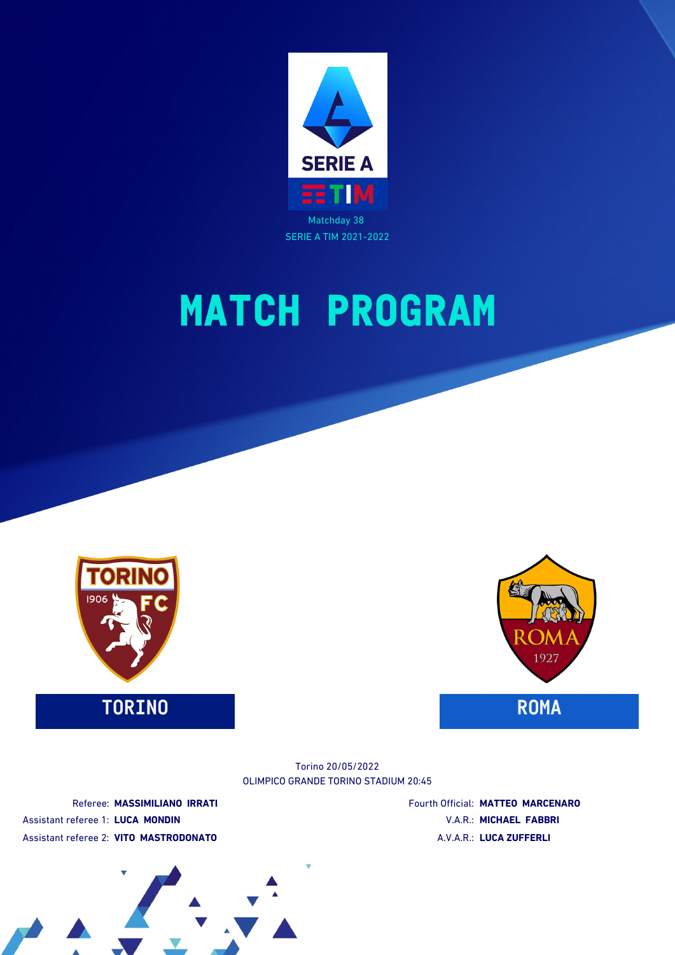



**TORINO ROMA**



OLIMPICO GRANDE TORINO STADIUM 20:45 Torino 20/05/2022

Referee: **MASSIMILIANO IRRATI** Assistant referee 1: **LUCA MONDIN** Assistant referee 2: **VITO MASTRODONATO**

Fourth Official: **MATTEO MARCENARO** V.A.R.: **MICHAEL FABBRI** A.V.A.R.: **LUCA ZUFFERLI**

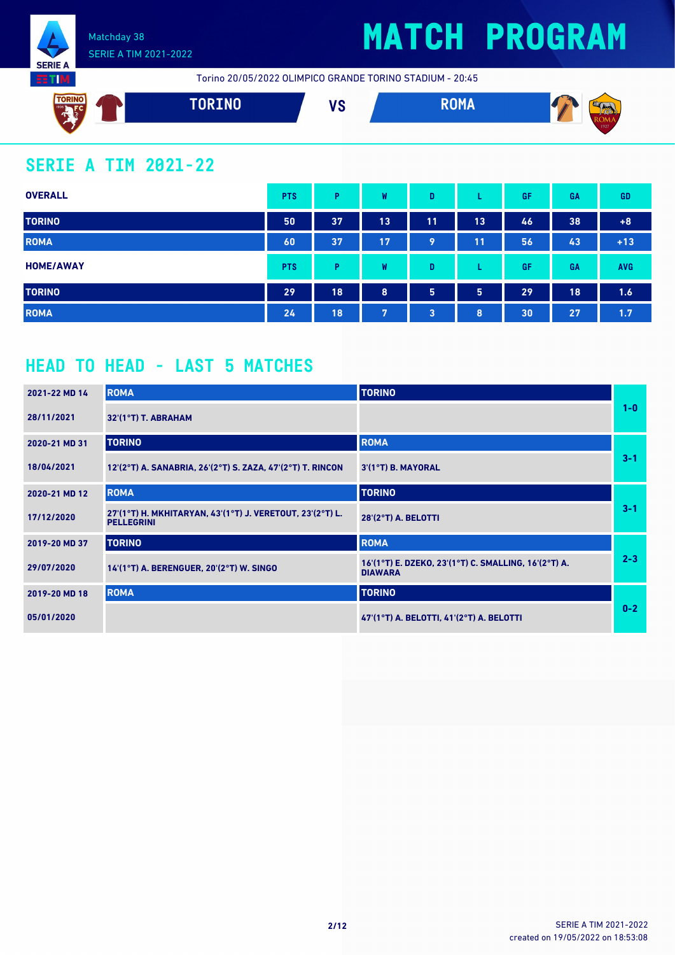

# **MATCH PROGRAM**

Torino 20/05/2022 OLIMPICO GRANDE TORINO STADIUM - 20:45



### **SERIE A TIM 2021-22**

| <b>OVERALL</b>   | <b>PTS</b> | P  | W  | D              |    | GF | GA | <b>GD</b>  |
|------------------|------------|----|----|----------------|----|----|----|------------|
| <b>TORINO</b>    | 50         | 37 | 13 | 11             | 13 | 46 | 38 | $+8$       |
| <b>ROMA</b>      | 60         | 37 | 17 | 9              | 11 | 56 | 43 | $+13$      |
| <b>HOME/AWAY</b> | <b>PTS</b> | P  | W  | D              | ┗  | GF | GA | <b>AVG</b> |
| <b>TORINO</b>    | 29         | 18 | 8  | 5              | 5  | 29 | 18 | 1.6        |
| <b>ROMA</b>      | 24         | 18 | 7  | $\overline{3}$ | 8  | 30 | 27 | 1.7        |

### **HEAD TO HEAD - LAST 5 MATCHES**

| 2021-22 MD 14 | <b>ROMA</b>                                                                    | <b>TORINO</b>                                                          |         |
|---------------|--------------------------------------------------------------------------------|------------------------------------------------------------------------|---------|
| 28/11/2021    | $32'(1°T)$ T. ABRAHAM                                                          |                                                                        | $1 - 0$ |
| 2020-21 MD 31 | <b>TORINO</b>                                                                  | <b>ROMA</b>                                                            |         |
| 18/04/2021    | 12'(2°T) A. SANABRIA, 26'(2°T) S. ZAZA, 47'(2°T) T. RINCON                     | $3'(1°T)$ B. MAYORAL                                                   | $3 - 1$ |
| 2020-21 MD 12 | <b>ROMA</b>                                                                    | <b>TORINO</b>                                                          |         |
| 17/12/2020    | 27'(1°T) H. MKHITARYAN, 43'(1°T) J. VERETOUT, 23'(2°T) L.<br><b>PELLEGRINI</b> | 28'(2°T) A. BELOTTI                                                    | $3 - 1$ |
| 2019-20 MD 37 | <b>TORINO</b>                                                                  | <b>ROMA</b>                                                            |         |
| 29/07/2020    | 14'(1°T) A. BERENGUER, 20'(2°T) W. SINGO                                       | 16'(1°T) E. DZEKO, 23'(1°T) C. SMALLING, 16'(2°T) A.<br><b>DIAWARA</b> | $2 - 3$ |
| 2019-20 MD 18 | <b>ROMA</b>                                                                    | <b>TORINO</b>                                                          |         |
| 05/01/2020    |                                                                                | 47'(1°T) A. BELOTTI, 41'(2°T) A. BELOTTI                               | $0 - 2$ |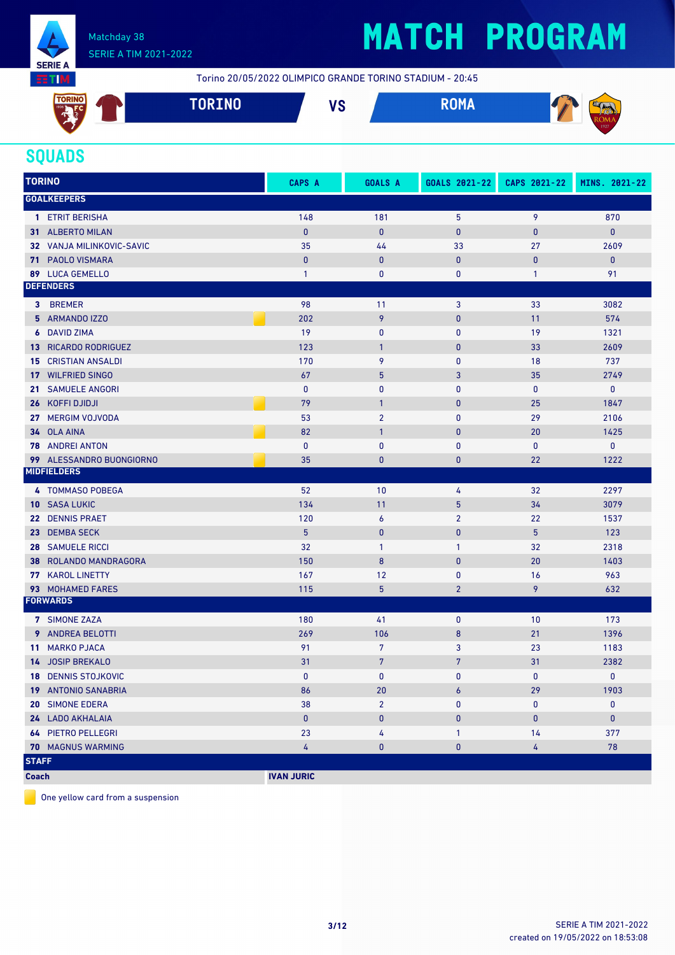

# **MATCH PROGRAM**

Torino 20/05/2022 OLIMPICO GRANDE TORINO STADIUM - 20:45



### **SQUADS**

| <b>TORINO</b> |                            | CAPS A         | <b>GOALS A</b>  | GOALS 2021-22  | CAPS 2021-22 | MINS. 2021-22 |
|---------------|----------------------------|----------------|-----------------|----------------|--------------|---------------|
|               | <b>GOALKEEPERS</b>         |                |                 |                |              |               |
|               | 1 ETRIT BERISHA            | 148            | 181             | 5              | 9            | 870           |
|               | 31 ALBERTO MILAN           | $\mathbf{0}$   | $\pmb{0}$       | $\bf{0}$       | $\bf{0}$     | $\pmb{0}$     |
|               | 32 VANJA MILINKOVIC-SAVIC  | 35             | 44              | 33             | 27           | 2609          |
|               | <b>71 PAOLO VISMARA</b>    | $\mathbf{0}$   | $\mathbf{0}$    | $\mathbf{0}$   | $\mathbf{0}$ | $\mathbf{0}$  |
|               | 89 LUCA GEMELLO            | $\mathbf{1}$   | $\pmb{0}$       | 0              | $\mathbf{1}$ | 91            |
|               | <b>DEFENDERS</b>           |                |                 |                |              |               |
|               | 3 BREMER                   | 98             | 11              | 3              | 33           | 3082          |
|               | 5 ARMANDO IZZO             | 202            | 9               | $\bf{0}$       | 11           | 574           |
|               | <b>6</b> DAVID ZIMA        | 19             | $\bf{0}$        | 0              | 19           | 1321          |
|               | 13 RICARDO RODRIGUEZ       | 123            | $\mathbf{1}$    | $\pmb{0}$      | 33           | 2609          |
|               | <b>15 CRISTIAN ANSALDI</b> | 170            | 9               | 0              | 18           | 737           |
|               | 17 WILFRIED SINGO          | 67             | 5               | 3              | 35           | 2749          |
| 21.           | <b>SAMUELE ANGORI</b>      | $\mathbf{0}$   | $\mathbf{0}$    | 0              | $\bf{0}$     | $\mathbf 0$   |
|               | 26 KOFFI DJIDJI            | 79             | $\mathbf{1}$    | $\bf{0}$       | 25           | 1847          |
|               | 27 MERGIM VOJVODA          | 53             | $\overline{2}$  | $\mathbf{0}$   | 29           | 2106          |
|               | 34 OLA AINA                | 82             | $\mathbf{1}$    | $\pmb{0}$      | 20           | 1425          |
|               | <b>78 ANDREI ANTON</b>     | 0              | $\bf{0}$        | 0              | 0            | 0             |
|               | 99 ALESSANDRO BUONGIORNO   | 35             | $\mathbf{0}$    | 0              | 22           | 1222          |
|               | <b>MIDFIELDERS</b>         |                |                 |                |              |               |
|               | 4 TOMMASO POBEGA           | 52             | 10              | 4              | 32           | 2297          |
|               | <b>10 SASA LUKIC</b>       | 134            | 11              | 5              | 34           | 3079          |
|               | 22 DENNIS PRAET            | 120            | 6               | $\overline{2}$ | 22           | 1537          |
|               | 23 DEMBA SECK              | 5 <sup>5</sup> | $\mathbf{0}$    | $\mathbf 0$    | 5            | 123           |
|               | <b>28 SAMUELE RICCI</b>    | 32             | $\mathbf{1}$    | $\mathbf{1}$   | 32           | 2318          |
| 38            | ROLANDO MANDRAGORA         | 150            | 8               | $\mathbf{0}$   | 20           | 1403          |
|               | 77 KAROL LINETTY           | 167            | 12              | 0              | 16           | 963           |
|               | 93 MOHAMED FARES           | 115            | $5\phantom{.0}$ | $\overline{2}$ | 9            | 632           |
|               | <b>FORWARDS</b>            |                |                 |                |              |               |
|               | 7 SIMONE ZAZA              | 180            | 41              | $\mathbf 0$    | 10           | 173           |
|               | 9 ANDREA BELOTTI           | 269            | 106             | 8              | 21           | 1396          |
|               | 11 MARKO PJACA             | 91             | 7               | 3              | 23           | 1183          |
|               | 14 JOSIP BREKALO           | 31             | $\overline{7}$  | $\overline{7}$ | 31           | 2382          |
|               | <b>18 DENNIS STOJKOVIC</b> | $\mathbf{0}$   | $\mathbf{0}$    | $\mathbf{0}$   | $\mathbf{0}$ | $\mathbf{0}$  |
|               | 19 ANTONIO SANABRIA        | 86             | 20              | 6              | 29           | 1903          |
|               | 20 SIMONE EDERA            | 38             | $\overline{2}$  | 0              | 0            | 0             |
|               | 24 LADO AKHALAIA           | $\pmb{0}$      | $\pmb{0}$       | 0              | 0            | $\pmb{0}$     |
|               | <b>64 PIETRO PELLEGRI</b>  | 23             | 4               | $\mathbf{1}$   | 14           | 377           |
|               | 70 MAGNUS WARMING          | 4              | $\pmb{0}$       | 0              | 4            | 78            |
| <b>STAFF</b>  |                            |                |                 |                |              |               |

**Coach IVAN JURIC** 

One yellow card from a suspension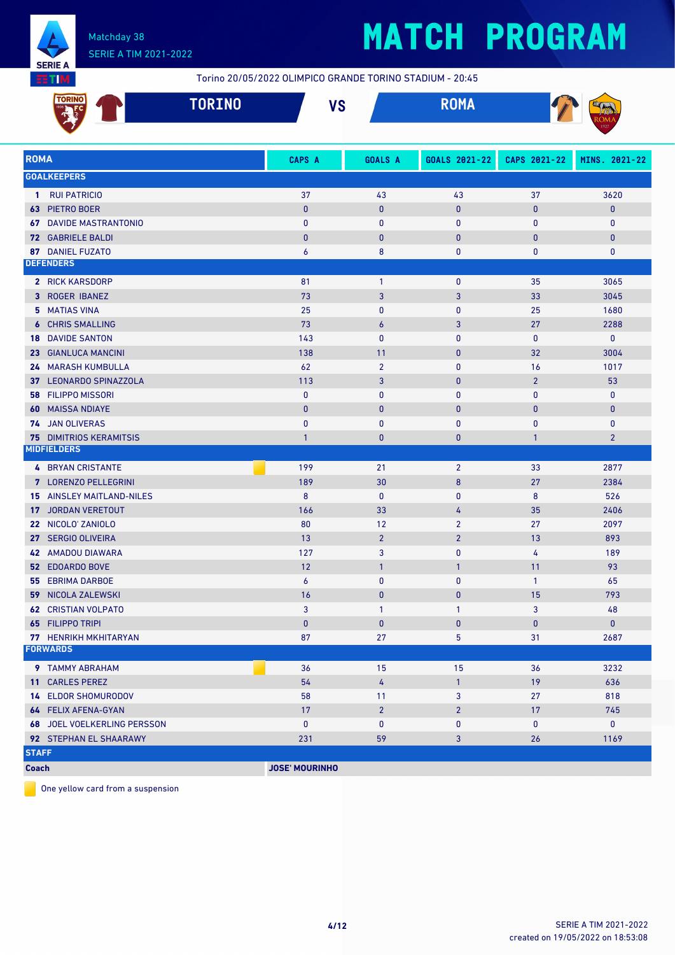

# **MATCH PROGRAM**

Torino 20/05/2022 OLIMPICO GRANDE TORINO STADIUM - 20:45

| $\overline{\phantom{a}}$ | <b><i><u>PARTIA</u></i></b> | 110 | ----   | ∼    |
|--------------------------|-----------------------------|-----|--------|------|
| <b>I</b> ORING           | <b>I UKTMA</b>              | ۰o  | חווטוו |      |
|                          |                             |     |        | 1927 |

| <b>ROMA</b>                              | <b>CAPS A</b>         | <b>GOALS A</b> | GOALS 2021-22    | CAPS 2021-22   | MINS. 2021-22  |
|------------------------------------------|-----------------------|----------------|------------------|----------------|----------------|
| <b>GOALKEEPERS</b>                       |                       |                |                  |                |                |
| <b>RUI PATRICIO</b><br>$\mathbf{1}$      | 37                    | 43             | 43               | 37             | 3620           |
| PIETRO BOER<br>63.                       | $\bf{0}$              | $\bf{0}$       | $\pmb{0}$        | $\bf{0}$       | 0              |
| <b>67 DAVIDE MASTRANTONIO</b>            | $\bf{0}$              | $\mathbf{0}$   | 0                | $\mathbf{0}$   | 0              |
| <b>72 GABRIELE BALDI</b>                 | $\bf{0}$              | $\bf{0}$       | $\pmb{0}$        | $\bf{0}$       | 0              |
| 87 DANIEL FUZATO                         | 6                     | 8              | $\mathbf{0}$     | $\mathbf{0}$   | 0              |
| <b>DEFENDERS</b>                         |                       |                |                  |                |                |
| 2 RICK KARSDORP                          | 81                    | $\mathbf{1}$   | 0                | 35             | 3065           |
| 3 ROGER IBANEZ                           | 73                    | 3              | 3                | 33             | 3045           |
| 5 MATIAS VINA                            | 25                    | 0              | 0                | 25             | 1680           |
| <b>6 CHRIS SMALLING</b>                  | 73                    | 6              | 3                | 27             | 2288           |
| <b>18 DAVIDE SANTON</b>                  | 143                   | $\mathbf{0}$   | 0                | 0              | 0              |
| 23 GIANLUCA MANCINI                      | 138                   | 11             | $\pmb{0}$        | 32             | 3004           |
| <b>24 MARASH KUMBULLA</b>                | 62                    | $\overline{2}$ | $\mathbf{0}$     | 16             | 1017           |
| 37 LEONARDO SPINAZZOLA                   | 113                   | 3              | $\pmb{0}$        | $\overline{2}$ | 53             |
| <b>58 FILIPPO MISSORI</b>                | 0                     | $\mathbf{0}$   | 0                | $\mathbf{0}$   | 0              |
| <b>MAISSA NDIAYE</b><br>60               | $\bf{0}$              | $\bf{0}$       | $\pmb{0}$        | $\bf{0}$       | 0              |
| 74 JAN OLIVERAS                          | $\bf{0}$              | 0              | 0                | 0              | 0              |
| <b>75 DIMITRIOS KERAMITSIS</b>           | $\mathbf{1}$          | $\bf{0}$       | $\pmb{0}$        | $\mathbf{1}$   | $\overline{2}$ |
| <b>MIDFIELDERS</b>                       |                       |                |                  |                |                |
| <b>4 BRYAN CRISTANTE</b>                 | 199                   | 21             | $\overline{2}$   | 33             | 2877           |
| 7 LORENZO PELLEGRINI                     | 189                   | 30             | $\boldsymbol{8}$ | 27             | 2384           |
| <b>15 AINSLEY MAITLAND-NILES</b>         | 8                     | 0              | $\pmb{0}$        | 8              | 526            |
| <b>JORDAN VERETOUT</b><br>17             | 166                   | 33             | 4                | 35             | 2406           |
| 22 NICOLO' ZANIOLO                       | 80                    | 12             | $\overline{2}$   | 27             | 2097           |
| <b>SERGIO OLIVEIRA</b><br>27             | 13                    | $\overline{2}$ | $\overline{2}$   | 13             | 893            |
| <b>42 AMADOU DIAWARA</b>                 | 127                   | 3              | 0                | 4              | 189            |
| <b>52 EDOARDO BOVE</b>                   | 12                    | $\mathbf{1}$   | $\mathbf{1}$     | 11             | 93             |
| <b>55 EBRIMA DARBOE</b>                  | 6                     | 0              | $\mathbf{0}$     | $\mathbf{1}$   | 65             |
| <b>59 NICOLA ZALEWSKI</b>                | 16                    | $\bf{0}$       | $\pmb{0}$        | 15             | 793            |
| <b>CRISTIAN VOLPATO</b><br>62.           | 3                     | $\mathbf{1}$   | 1                | 3              | 48             |
| 65 FILIPPO TRIPI                         | $\bf{0}$              | $\bf{0}$       | $\pmb{0}$        | $\bf{0}$       | 0              |
| 77 HENRIKH MKHITARYAN<br><b>FORWARDS</b> | 87                    | 27             | 5                | 31             | 2687           |
|                                          |                       |                |                  |                |                |
| 9 TAMMY ABRAHAM                          | 36                    | 15             | 15               | 36             | 3232           |
| 11 CARLES PEREZ                          | 54                    | 4              | $\mathbf{1}$     | 19             | 636            |
| <b>14 ELDOR SHOMURODOV</b>               | 58                    | 11             | 3                | 27             | 818            |
| 64 FELIX AFENA-GYAN                      | 17                    | $\overline{2}$ | $\overline{2}$   | 17             | 745            |
| <b>68 JOEL VOELKERLING PERSSON</b>       | 0                     | 0              | $\bf{0}$         | 0              | 0              |
| 92 STEPHAN EL SHAARAWY                   | 231                   | 59             | 3                | 26             | 1169           |
| <b>STAFF</b>                             |                       |                |                  |                |                |
| <b>Coach</b>                             | <b>JOSE' MOURINHO</b> |                |                  |                |                |

One yellow card from a suspension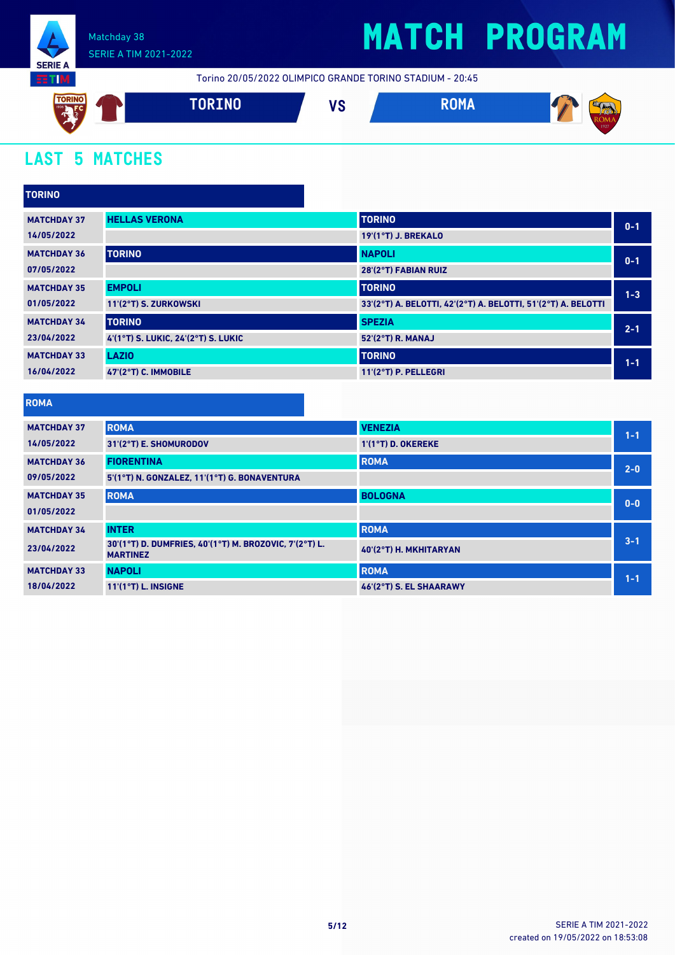

Torino 20/05/2022 OLIMPICO GRANDE TORINO STADIUM - 20:45



### **LAST 5 MATCHES**

| <b>TORINO</b>      |                                     |                                                               |         |
|--------------------|-------------------------------------|---------------------------------------------------------------|---------|
| <b>MATCHDAY 37</b> | <b>HELLAS VERONA</b>                | <b>TORINO</b>                                                 | $0 - 1$ |
| 14/05/2022         |                                     | 19'(1°T) J. BREKALO                                           |         |
| <b>MATCHDAY 36</b> | <b>TORINO</b>                       | <b>NAPOLI</b>                                                 | $0 - 1$ |
| 07/05/2022         |                                     | 28'(2°T) FABIAN RUIZ                                          |         |
| <b>MATCHDAY 35</b> | <b>EMPOLI</b>                       | <b>TORINO</b>                                                 | $1 - 3$ |
| 01/05/2022         | 11'(2°T) S. ZURKOWSKI               | 33'(2°T) A. BELOTTI, 42'(2°T) A. BELOTTI, 51'(2°T) A. BELOTTI |         |
| <b>MATCHDAY 34</b> | <b>TORINO</b>                       | <b>SPEZIA</b>                                                 | $2 - 1$ |
| 23/04/2022         | 4'(1°T) S. LUKIC, 24'(2°T) S. LUKIC | 52'(2°T) R. MANAJ                                             |         |
| <b>MATCHDAY 33</b> | <b>LAZIO</b>                        | <b>TORINO</b>                                                 | $1 - 1$ |
| 16/04/2022         | 47'(2°T) C. IMMOBILE                | $11'(2°T)$ P. PELLEGRI                                        |         |

**ROMA**

| <b>MATCHDAY 37</b> | <b>ROMA</b>                                                               | <b>VENEZIA</b>          | $1 - 1$ |
|--------------------|---------------------------------------------------------------------------|-------------------------|---------|
| 14/05/2022         | 31'(2°T) E. SHOMURODOV                                                    | 1'(1°T) D. OKEREKE      |         |
| <b>MATCHDAY 36</b> | <b>FIORENTINA</b>                                                         | <b>ROMA</b>             | $2 - 0$ |
| 09/05/2022         | 5'(1°T) N. GONZALEZ, 11'(1°T) G. BONAVENTURA                              |                         |         |
| <b>MATCHDAY 35</b> | <b>ROMA</b>                                                               | <b>BOLOGNA</b>          | $0 - 0$ |
| 01/05/2022         |                                                                           |                         |         |
| <b>MATCHDAY 34</b> | <b>INTER</b>                                                              | <b>ROMA</b>             |         |
| 23/04/2022         | 30'(1°T) D. DUMFRIES, 40'(1°T) M. BROZOVIC, 7'(2°T) L.<br><b>MARTINEZ</b> | 40'(2°T) H. MKHITARYAN  | $3 - 1$ |
| <b>MATCHDAY 33</b> | <b>NAPOLI</b>                                                             | <b>ROMA</b>             | $1 - 1$ |
| 18/04/2022         | $11'(1°T)$ L. INSIGNE                                                     | 46'(2°T) S. EL SHAARAWY |         |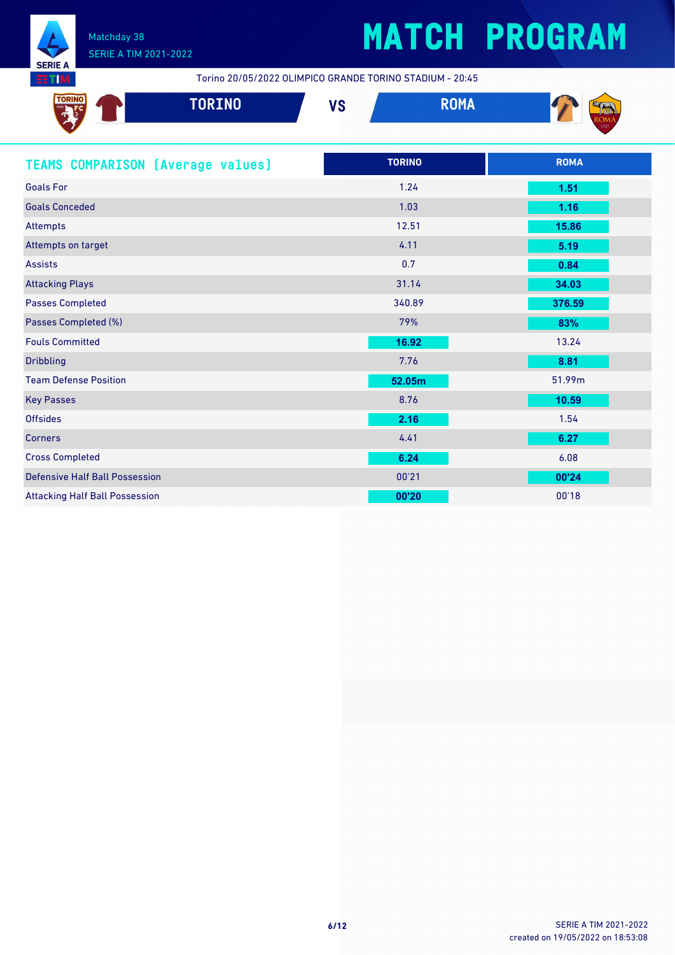

Torino 20/05/2022 OLIMPICO GRANDE TORINO STADIUM - 20:45

| TORING<br><b>TORINO</b>                  | <b>VS</b> | <b>ROMA</b>   | $\frac{ROM_1}{1927}$ |
|------------------------------------------|-----------|---------------|----------------------|
| <b>TEAMS COMPARISON (Average values)</b> |           | <b>TORINO</b> | <b>ROMA</b>          |
| <b>Goals For</b>                         |           | 1.24          | 1.51                 |
| <b>Goals Conceded</b>                    |           | 1.03          | 1.16                 |
|                                          |           |               |                      |

Attempts 12.51 **15.86**

| Attempts on target                    | 4.11   | 5.19   |
|---------------------------------------|--------|--------|
| <b>Assists</b>                        | 0.7    | 0.84   |
| <b>Attacking Plays</b>                | 31.14  | 34.03  |
| <b>Passes Completed</b>               | 340.89 | 376.59 |
| Passes Completed (%)                  | 79%    | 83%    |
| <b>Fouls Committed</b>                | 16.92  | 13.24  |
| <b>Dribbling</b>                      | 7.76   | 8.81   |
| <b>Team Defense Position</b>          | 52.05m | 51.99m |
| <b>Key Passes</b>                     | 8.76   | 10.59  |
| <b>Offsides</b>                       | 2.16   | 1.54   |
| <b>Corners</b>                        | 4.41   | 6.27   |
| <b>Cross Completed</b>                | 6.24   | 6.08   |
| <b>Defensive Half Ball Possession</b> | 00'21  | 00'24  |
| <b>Attacking Half Ball Possession</b> | 00'20  | 00'18  |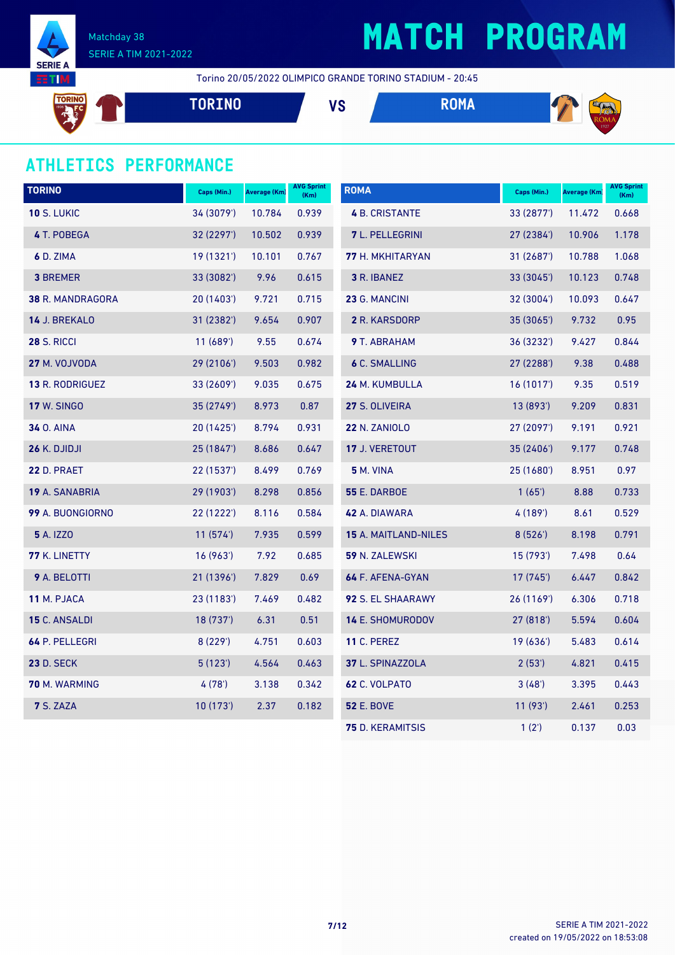

# **MATCH PROGRAM**

Torino 20/05/2022 OLIMPICO GRANDE TORINO STADIUM - 20:45

**TORINO VS ROMA** 

### **ATHLETICS PERFORMANCE**

| <b>TORINO</b>         | Caps (Min.) | <b>Average (Km)</b> | <b>AVG Sprint</b><br>(Km) | <b>ROMA</b>             | Caps (Min.) | <b>Average (Km)</b> | <b>AVG Sprint</b><br>(Km) |
|-----------------------|-------------|---------------------|---------------------------|-------------------------|-------------|---------------------|---------------------------|
| <b>10 S. LUKIC</b>    | 34 (3079')  | 10.784              | 0.939                     | <b>4 B. CRISTANTE</b>   | 33 (2877')  | 11.472              | 0.668                     |
| 4 T. POBEGA           | 32 (2297')  | 10.502              | 0.939                     | <b>7</b> L. PELLEGRINI  | 27 (2384)   | 10.906              | 1.178                     |
| 6 D. ZIMA             | 19 (1321')  | 10.101              | 0.767                     | 77 H. MKHITARYAN        | 31 (2687')  | 10.788              | 1.068                     |
| <b>3 BREMER</b>       | 33 (3082')  | 9.96                | 0.615                     | 3 R. IBANEZ             | 33 (3045')  | 10.123              | 0.748                     |
| 38 R. MANDRAGORA      | 20 (1403')  | 9.721               | 0.715                     | 23 G. MANCINI           | 32 (3004')  | 10.093              | 0.647                     |
| 14 J. BREKALO         | 31 (2382')  | 9.654               | 0.907                     | 2 R. KARSDORP           | 35 (3065')  | 9.732               | 0.95                      |
| <b>28 S. RICCI</b>    | 11 (689')   | 9.55                | 0.674                     | 9 T. ABRAHAM            | 36 (3232')  | 9.427               | 0.844                     |
| 27 M. VOJVODA         | 29 (2106')  | 9.503               | 0.982                     | <b>6 C. SMALLING</b>    | 27 (2288')  | 9.38                | 0.488                     |
| 13 R. RODRIGUEZ       | 33 (2609')  | 9.035               | 0.675                     | 24 M. KUMBULLA          | 16(1017)    | 9.35                | 0.519                     |
| <b>17 W. SINGO</b>    | 35 (2749')  | 8.973               | 0.87                      | 27 S. OLIVEIRA          | 13(893)     | 9.209               | 0.831                     |
| <b>34 O. AINA</b>     | 20 (1425')  | 8.794               | 0.931                     | <b>22 N. ZANIOLO</b>    | 27 (2097')  | 9.191               | 0.921                     |
| 26 K. DJIDJI          | 25 (1847')  | 8.686               | 0.647                     | 17 J. VERETOUT          | 35 (2406')  | 9.177               | 0.748                     |
| <b>22 D. PRAET</b>    | 22 (1537')  | 8.499               | 0.769                     | <b>5</b> M. VINA        | 25 (1680')  | 8.951               | 0.97                      |
| <b>19 A. SANABRIA</b> | 29 (1903')  | 8.298               | 0.856                     | <b>55 E. DARBOE</b>     | 1(65)       | 8.88                | 0.733                     |
| 99 A. BUONGIORNO      | 22 (1222')  | 8.116               | 0.584                     | 42 A. DIAWARA           | 4 (189')    | 8.61                | 0.529                     |
| <b>5</b> A. IZZO      | 11(574)     | 7.935               | 0.599                     | 15 A. MAITLAND-NILES    | 8(526)      | 8.198               | 0.791                     |
| 77 K. LINETTY         | 16(963)     | 7.92                | 0.685                     | 59 N. ZALEWSKI          | 15 (793')   | 7.498               | 0.64                      |
| 9 A. BELOTTI          | 21 (1396')  | 7.829               | 0.69                      | 64 F. AFENA-GYAN        | 17(745)     | 6.447               | 0.842                     |
| 11 M. PJACA           | 23 (1183')  | 7.469               | 0.482                     | 92 S. EL SHAARAWY       | 26 (1169')  | 6.306               | 0.718                     |
| 15 C. ANSALDI         | 18 (737')   | 6.31                | 0.51                      | 14 E. SHOMURODOV        | 27(818)     | 5.594               | 0.604                     |
| 64 P. PELLEGRI        | 8(229')     | 4.751               | 0.603                     | <b>11 C. PEREZ</b>      | 19(636)     | 5.483               | 0.614                     |
| <b>23 D. SECK</b>     | 5(123)      | 4.564               | 0.463                     | 37 L. SPINAZZOLA        | 2(53)       | 4.821               | 0.415                     |
| 70 M. WARMING         | 4(78)       | 3.138               | 0.342                     | <b>62 C. VOLPATO</b>    | 3(48)       | 3.395               | 0.443                     |
| 7 S. ZAZA             | 10(173)     | 2.37                | 0.182                     | <b>52 E. BOVE</b>       | 11 (93')    | 2.461               | 0.253                     |
|                       |             |                     |                           | <b>75</b> D. KERAMITSIS | 1(2')       | 0.137               | 0.03                      |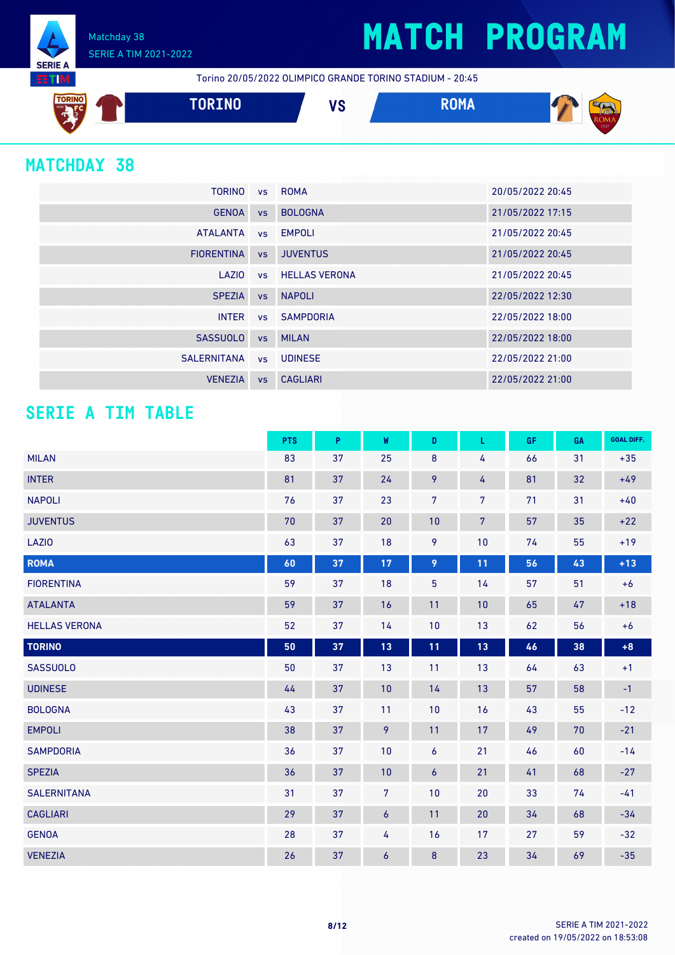Matchday 38 SERIE A TIM 2021-2022 **SERIE A NITE:** 

Torino 20/05/2022 OLIMPICO GRANDE TORINO STADIUM - 20:45



### **MATCHDAY 38**

| <b>TORINO</b>     |           | vs ROMA                 | 20/05/2022 20:45 |
|-------------------|-----------|-------------------------|------------------|
| <b>GENOA</b>      | <b>VS</b> | <b>BOLOGNA</b>          | 21/05/2022 17:15 |
| <b>ATALANTA</b>   |           | vs EMPOLI               | 21/05/2022 20:45 |
| <b>FIORENTINA</b> | VS        | <b>JUVENTUS</b>         | 21/05/2022 20:45 |
| LAZIO             |           | <b>vs</b> HELLAS VERONA | 21/05/2022 20:45 |
| <b>SPEZIA</b>     | <b>VS</b> | <b>NAPOLI</b>           | 22/05/2022 12:30 |
| <b>INTER</b>      |           | vs SAMPDORIA            | 22/05/2022 18:00 |
| <b>SASSUOLO</b>   | <b>VS</b> | <b>MILAN</b>            | 22/05/2022 18:00 |
| SALERNITANA       |           | vs UDINESE              | 22/05/2022 21:00 |
| <b>VENEZIA</b>    | <b>VS</b> | <b>CAGLIARI</b>         | 22/05/2022 21:00 |

### **SERIE A TIM TABLE**

|                      | <b>PTS</b> | P  | W                | D              | L              | GF | GA | <b>GOAL DIFF.</b> |
|----------------------|------------|----|------------------|----------------|----------------|----|----|-------------------|
| <b>MILAN</b>         | 83         | 37 | 25               | 8              | 4              | 66 | 31 | $+35$             |
| <b>INTER</b>         | 81         | 37 | 24               | 9              | 4              | 81 | 32 | $+49$             |
| <b>NAPOLI</b>        | 76         | 37 | 23               | $\overline{7}$ | $\overline{7}$ | 71 | 31 | $+40$             |
| <b>JUVENTUS</b>      | 70         | 37 | 20               | 10             | $\overline{7}$ | 57 | 35 | $+22$             |
| LAZI0                | 63         | 37 | 18               | 9              | 10             | 74 | 55 | $+19$             |
| <b>ROMA</b>          | 60         | 37 | 17               | 9              | 11             | 56 | 43 | $+13$             |
| <b>FIORENTINA</b>    | 59         | 37 | 18               | $\overline{5}$ | 14             | 57 | 51 | $+6$              |
| <b>ATALANTA</b>      | 59         | 37 | 16               | 11             | 10             | 65 | 47 | $+18$             |
| <b>HELLAS VERONA</b> | 52         | 37 | 14               | 10             | 13             | 62 | 56 | $+6$              |
| <b>TORINO</b>        | 50         | 37 | 13               | 11             | 13             | 46 | 38 | $+8$              |
| <b>SASSUOLO</b>      | 50         | 37 | 13               | 11             | 13             | 64 | 63 | $+1$              |
| <b>UDINESE</b>       | 44         | 37 | 10               | 14             | 13             | 57 | 58 | $-1$              |
| <b>BOLOGNA</b>       | 43         | 37 | 11               | 10             | 16             | 43 | 55 | $-12$             |
| <b>EMPOLI</b>        | 38         | 37 | 9                | 11             | 17             | 49 | 70 | $-21$             |
| <b>SAMPDORIA</b>     | 36         | 37 | 10               | 6              | 21             | 46 | 60 | $-14$             |
| <b>SPEZIA</b>        | 36         | 37 | 10               | 6              | 21             | 41 | 68 | $-27$             |
| <b>SALERNITANA</b>   | 31         | 37 | $\overline{7}$   | 10             | 20             | 33 | 74 | $-41$             |
| <b>CAGLIARI</b>      | 29         | 37 | $\boldsymbol{6}$ | 11             | 20             | 34 | 68 | $-34$             |
| <b>GENOA</b>         | 28         | 37 | 4                | 16             | 17             | 27 | 59 | $-32$             |
| <b>VENEZIA</b>       | 26         | 37 | 6                | 8              | 23             | 34 | 69 | $-35$             |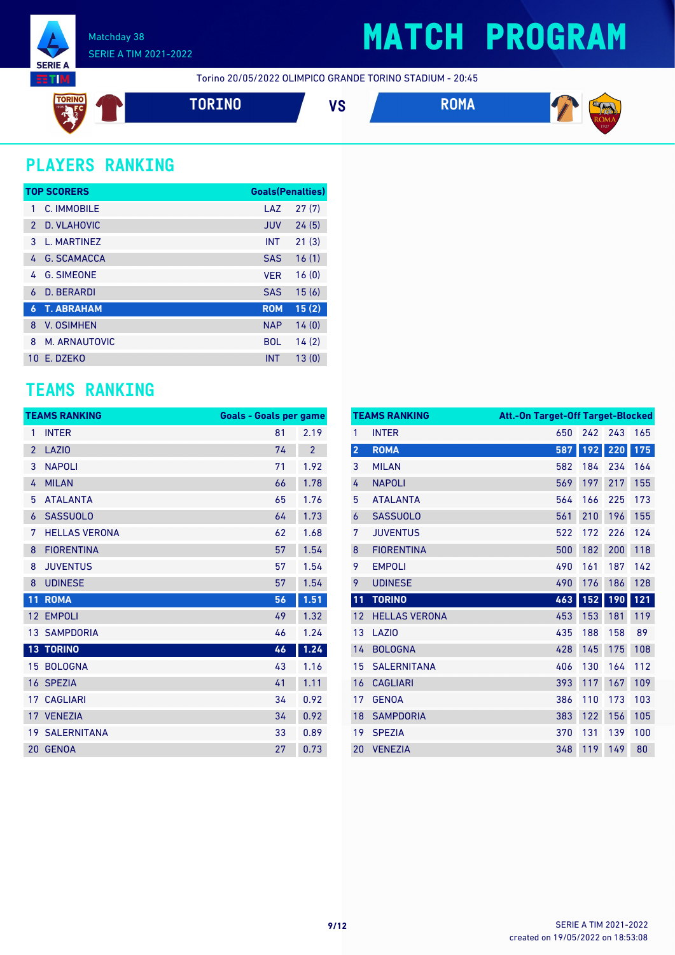

### **MATCH PROGRAM**

Torino 20/05/2022 OLIMPICO GRANDE TORINO STADIUM - 20:45



### **PLAYERS RANKING**

|               | <b>TOP SCORERS</b> | <b>Goals(Penalties)</b> |       |
|---------------|--------------------|-------------------------|-------|
| 1             | C. IMMOBILE        | LAZ                     | 27(7) |
| $\mathcal{P}$ | D. VLAHOVIC        | <b>JUV</b>              | 24(5) |
| 3             | L. MARTINEZ        | <b>INT</b>              | 21(3) |
| 4             | <b>G. SCAMACCA</b> | <b>SAS</b>              | 16(1) |
| 4             | <b>G. SIMEONE</b>  | <b>VER</b>              | 16(0) |
| 6             | <b>D. BERARDI</b>  | <b>SAS</b>              | 15(6) |
| 6             | <b>T. ABRAHAM</b>  | <b>ROM</b>              | 15(2) |
| 8             | <b>V. OSIMHEN</b>  | <b>NAP</b>              | 14(0) |
| 8             | M. ARNAUTOVIC      | <b>BOL</b>              | 14(2) |
| 10            | F. DZFKO           | <b>INT</b>              | 13(0) |

### **TEAMS RANKING**

|                | <b>TEAMS RANKING</b>  | <b>Goals - Goals per game</b> |                |
|----------------|-----------------------|-------------------------------|----------------|
| 1              | <b>INTER</b>          | 81                            | 2.19           |
| $\overline{2}$ | <b>LAZIO</b>          | 74                            | $\overline{2}$ |
| 3              | <b>NAPOLI</b>         | 71                            | 1.92           |
| 4              | <b>MILAN</b>          | 66                            | 1.78           |
| 5              | <b>ATALANTA</b>       | 65                            | 1.76           |
| 6              | <b>SASSUOLO</b>       | 64                            | 1.73           |
| 7              | <b>HELLAS VERONA</b>  | 62                            | 1.68           |
| 8              | <b>FIORENTINA</b>     | 57                            | 1.54           |
| 8              | <b>JUVENTUS</b>       | 57                            | 1.54           |
| 8              | <b>UDINESE</b>        | 57                            | 1.54           |
| 11             | <b>ROMA</b>           | 56                            | 1.51           |
| 12             | <b>EMPOLI</b>         | 49                            | 1.32           |
|                | <b>13 SAMPDORIA</b>   | 46                            | 1.24           |
|                | <b>13 TORINO</b>      | 46                            | 1.24           |
| 15             | <b>BOLOGNA</b>        | 43                            | 1.16           |
|                | 16 SPEZIA             | 41                            | 1.11           |
| 17             | <b>CAGLIARI</b>       | 34                            | 0.92           |
|                | 17 VENEZIA            | 34                            | 0.92           |
|                | <b>19 SALERNITANA</b> | 33                            | 0.89           |
|                | 20 GENOA              | 27                            | 0.73           |

|                         | <b>TEAMS RANKING</b> | <b>Att.-On Target-Off Target-Blocked</b> |     |     |     |
|-------------------------|----------------------|------------------------------------------|-----|-----|-----|
| 1                       | <b>INTER</b>         | 650                                      | 242 | 243 | 165 |
| $\overline{\mathbf{c}}$ | <b>ROMA</b>          | 587                                      | 192 | 220 | 175 |
| 3                       | <b>MILAN</b>         | 582                                      | 184 | 234 | 164 |
| 4                       | <b>NAPOLI</b>        | 569                                      | 197 | 217 | 155 |
| 5                       | <b>ATALANTA</b>      | 564                                      | 166 | 225 | 173 |
| 6                       | <b>SASSUOLO</b>      | 561                                      | 210 | 196 | 155 |
| 7                       | <b>JUVENTUS</b>      | 522                                      | 172 | 226 | 124 |
| 8                       | <b>FIORENTINA</b>    | 500                                      | 182 | 200 | 118 |
| 9                       | <b>EMPOLI</b>        | 490                                      | 161 | 187 | 142 |
| 9                       | <b>UDINESE</b>       | 490                                      | 176 | 186 | 128 |
| 11                      | <b>TORINO</b>        | 463                                      | 152 | 190 | 121 |
| 12                      | <b>HELLAS VERONA</b> | 453                                      | 153 | 181 | 119 |
| 13                      | LAZI <sub>0</sub>    | 435                                      | 188 | 158 | 89  |
| 14                      | <b>BOLOGNA</b>       | 428                                      | 145 | 175 | 108 |
| 15                      | <b>SALERNITANA</b>   | 406                                      | 130 | 164 | 112 |
| 16                      | <b>CAGLIARI</b>      | 393                                      | 117 | 167 | 109 |
| 17                      | <b>GENOA</b>         | 386                                      | 110 | 173 | 103 |
| 18                      | <b>SAMPDORIA</b>     | 383                                      | 122 | 156 | 105 |
| 19                      | <b>SPEZIA</b>        | 370                                      | 131 | 139 | 100 |
| 20                      | <b>VENEZIA</b>       | 348                                      | 119 | 149 | 80  |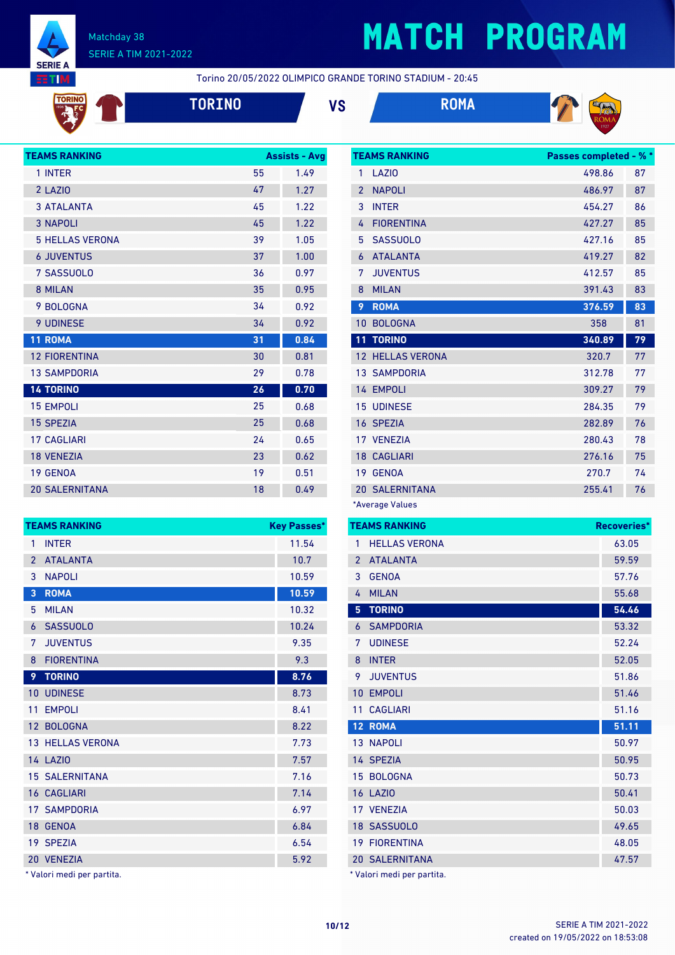

# **MATCH PROGRAM**

**TEAMS RANKING Passes completed - % \***

Torino 20/05/2022 OLIMPICO GRANDE TORINO STADIUM - 20:45









| <b>TEAMS RANKING</b>   |    | <b>Assists - Avg</b> |
|------------------------|----|----------------------|
| 1 INTER                | 55 | 1.49                 |
| 2 LAZIO                | 47 | 1.27                 |
| <b>3 ATALANTA</b>      | 45 | 1.22                 |
| <b>3 NAPOLI</b>        | 45 | 1.22                 |
| <b>5 HELLAS VERONA</b> | 39 | 1.05                 |
| <b>6 JUVENTUS</b>      | 37 | 1.00                 |
| 7 SASSUOLO             | 36 | 0.97                 |
| 8 MILAN                | 35 | 0.95                 |
| 9 BOLOGNA              | 34 | 0.92                 |
| <b>9 UDINESE</b>       | 34 | 0.92                 |
| 11 ROMA                | 31 | 0.84                 |
| <b>12 FIORENTINA</b>   | 30 | 0.81                 |
| <b>13 SAMPDORIA</b>    | 29 | 0.78                 |
| <b>14 TORINO</b>       | 26 | 0.70                 |
| <b>15 EMPOLI</b>       | 25 | 0.68                 |
| <b>15 SPEZIA</b>       | 25 | 0.68                 |
| <b>17 CAGLIARI</b>     | 24 | 0.65                 |
| <b>18 VENEZIA</b>      | 23 | 0.62                 |
| 19 GENOA               | 19 | 0.51                 |
| <b>20 SALERNITANA</b>  | 18 | 0.49                 |

|                 | <b>TEAMS RANKING</b>    | <b>Key Passes*</b> |
|-----------------|-------------------------|--------------------|
| 1               | <b>INTER</b>            | 11.54              |
| $\overline{2}$  | <b>ATALANTA</b>         | 10.7               |
| 3               | <b>NAPOLI</b>           | 10.59              |
| 3               | <b>ROMA</b>             | 10.59              |
| 5               | <b>MILAN</b>            | 10.32              |
| 6               | <b>SASSUOLO</b>         | 10.24              |
| 7               | <b>JUVENTUS</b>         | 9.35               |
| 8               | <b>FIORENTINA</b>       | 9.3                |
| 9               | <b>TORINO</b>           | 8.76               |
| 10              | <b>UDINESE</b>          | 8.73               |
| 11              | <b>EMPOLI</b>           | 8.41               |
| 12 <sup>2</sup> | <b>BOLOGNA</b>          | 8.22               |
|                 | <b>13 HELLAS VERONA</b> | 7.73               |
|                 | <b>14 LAZIO</b>         | 7.57               |
|                 | <b>15 SALERNITANA</b>   | 7.16               |
|                 | <b>16 CAGLIARI</b>      | 7.14               |
|                 | <b>17 SAMPDORIA</b>     | 6.97               |
| 18 <sup>°</sup> | <b>GENOA</b>            | 6.84               |
|                 | 19 SPEZIA               | 6.54               |
|                 | 20 VENEZIA              | 5.92               |

\* Valori medi per partita.

| 1              | <b>LAZIO</b>            | 498.86 | 87 |
|----------------|-------------------------|--------|----|
| $\overline{2}$ | <b>NAPOLI</b>           | 486.97 | 87 |
| 3              | <b>INTER</b>            | 454.27 | 86 |
| 4              | <b>FIORENTINA</b>       | 427.27 | 85 |
| 5              | <b>SASSUOLO</b>         | 427.16 | 85 |
| 6              | <b>ATALANTA</b>         | 419.27 | 82 |
| 7              | <b>JUVENTUS</b>         | 412.57 | 85 |
| 8              | <b>MILAN</b>            | 391.43 | 83 |
| 9              | <b>ROMA</b>             | 376.59 | 83 |
| 10             | <b>BOLOGNA</b>          | 358    | 81 |
|                |                         |        |    |
| 11             | <b>TORINO</b>           | 340.89 | 79 |
|                | <b>12 HELLAS VERONA</b> | 320.7  | 77 |
|                | <b>13 SAMPDORIA</b>     | 312.78 | 77 |
|                | 14 EMPOLI               | 309.27 | 79 |
|                | <b>15 UDINESE</b>       | 284.35 | 79 |
|                | 16 SPEZIA               | 282.89 | 76 |
|                | 17 VENEZIA              | 280.43 | 78 |
|                | <b>18 CAGLIARI</b>      | 276.16 | 75 |
| 19             | <b>GENOA</b>            | 270.7  | 74 |
|                | <b>20 SALERNITANA</b>   | 255.41 | 76 |

|                | <b>TEAMS RANKING</b>       | Recoveries* |
|----------------|----------------------------|-------------|
| 1              | <b>HELLAS VERONA</b>       | 63.05       |
| $\overline{2}$ | <b>ATALANTA</b>            | 59.59       |
| 3              | <b>GENOA</b>               | 57.76       |
| 4              | <b>MILAN</b>               | 55.68       |
| 5              | <b>TORINO</b>              | 54.46       |
| 6              | <b>SAMPDORIA</b>           | 53.32       |
| 7              | <b>UDINESE</b>             | 52.24       |
| 8              | <b>INTER</b>               | 52.05       |
| 9              | <b>JUVENTUS</b>            | 51.86       |
| 10             | <b>EMPOLI</b>              | 51.46       |
| 11             | <b>CAGLIARI</b>            | 51.16       |
|                | 12 ROMA                    | 51.11       |
|                | <b>13 NAPOLI</b>           | 50.97       |
|                | 14 SPEZIA                  | 50.95       |
|                | 15 BOLOGNA                 | 50.73       |
|                | <b>16 LAZIO</b>            | 50.41       |
|                | 17 VENEZIA                 | 50.03       |
|                | 18 SASSUOLO                | 49.65       |
|                | <b>19 FIORENTINA</b>       | 48.05       |
|                | <b>20 SALERNITANA</b>      | 47.57       |
|                | * Valori medi per partita. |             |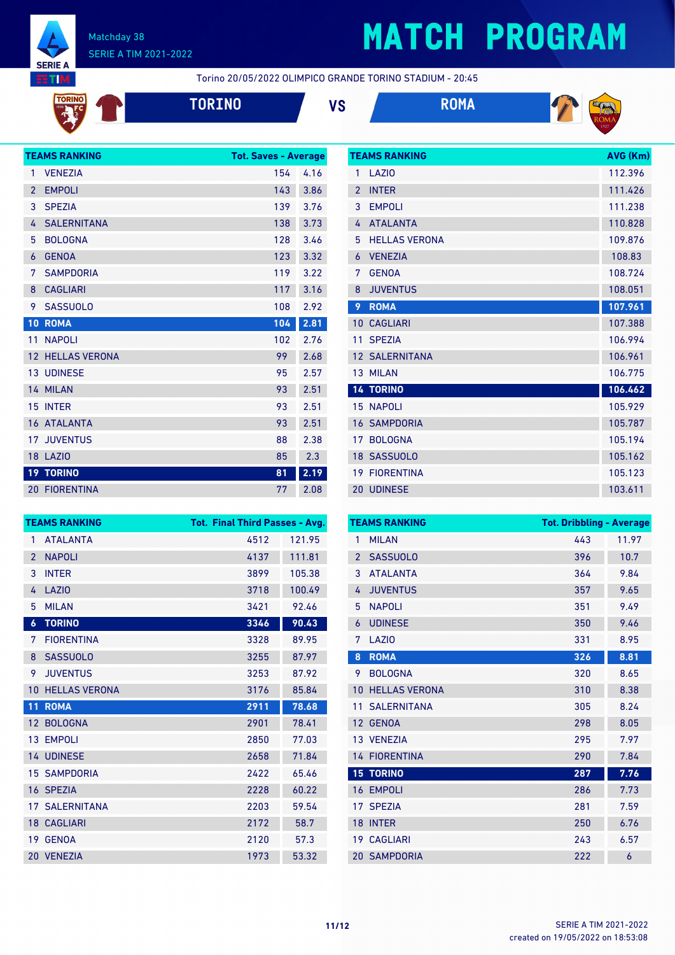

TORINO

#### Matchday 38 SERIE A TIM 2021-2022

## **MATCH PROGRAM**

**TEAMS RANKING AVG (Km)** 

Torino 20/05/2022 OLIMPICO GRANDE TORINO STADIUM - 20:45

|  |  | $\mathcal{L}^{\text{max}}_{\text{max}}$ and $\mathcal{L}^{\text{max}}_{\text{max}}$ and $\mathcal{L}^{\text{max}}_{\text{max}}$ and $\mathcal{L}^{\text{max}}_{\text{max}}$ |  |
|--|--|-----------------------------------------------------------------------------------------------------------------------------------------------------------------------------|--|
|  |  |                                                                                                                                                                             |  |





|                 | <b>TEAMS RANKING</b> | <b>Tot. Saves - Average</b> |      |
|-----------------|----------------------|-----------------------------|------|
| 1               | <b>VENEZIA</b>       | 154                         | 4.16 |
| $\overline{2}$  | <b>EMPOLI</b>        | 143                         | 3.86 |
| 3               | <b>SPEZIA</b>        | 139                         | 3.76 |
| 4               | <b>SALERNITANA</b>   | 138                         | 3.73 |
| 5               | <b>BOLOGNA</b>       | 128                         | 3.46 |
| 6               | <b>GENOA</b>         | 123                         | 3.32 |
| 7               | <b>SAMPDORIA</b>     | 119                         | 3.22 |
| 8               | <b>CAGLIARI</b>      | 117                         | 3.16 |
| 9               | <b>SASSUOLO</b>      | 108                         | 2.92 |
| 10              | <b>ROMA</b>          | 104                         | 2.81 |
| 11              | <b>NAPOLI</b>        | 102                         | 2.76 |
| 12 <sup>2</sup> | <b>HELLAS VERONA</b> | 99                          | 2.68 |
|                 | <b>13 UDINESE</b>    | 95                          | 2.57 |
|                 | 14 MILAN             | 93                          | 2.51 |
| 15              | <b>INTER</b>         | 93                          | 2.51 |
|                 | <b>16 ATALANTA</b>   | 93                          | 2.51 |
|                 | <b>17 JUVENTUS</b>   | 88                          | 2.38 |
|                 | <b>18 LAZIO</b>      | 85                          | 2.3  |
|                 | <b>19 TORINO</b>     | 81                          | 2.19 |
|                 | <b>20 FIORENTINA</b> | 77                          | 2.08 |

| 1              | LAZI <sub>0</sub>     | 112.396 |
|----------------|-----------------------|---------|
| $\overline{2}$ | <b>INTER</b>          | 111.426 |
| 3              | <b>EMPOLI</b>         | 111.238 |
| 4              | <b>ATALANTA</b>       | 110.828 |
| 5              | <b>HELLAS VERONA</b>  | 109.876 |
| 6              | <b>VENEZIA</b>        | 108.83  |
| 7              | <b>GENOA</b>          | 108.724 |
| 8              | <b>JUVENTUS</b>       | 108.051 |
| 9              | <b>ROMA</b>           | 107.961 |
| 10             | <b>CAGLIARI</b>       | 107.388 |
| 11             | <b>SPEZIA</b>         | 106.994 |
|                | <b>12 SALERNITANA</b> | 106.961 |
| 13             | <b>MILAN</b>          | 106.775 |
|                | <b>14 TORINO</b>      | 106.462 |
| 15             | <b>NAPOLI</b>         | 105.929 |
|                | <b>16 SAMPDORIA</b>   | 105.787 |
| 17             | <b>BOLOGNA</b>        | 105.194 |
|                |                       |         |
|                | 18 SASSUOLO           | 105.162 |
| 19             | <b>FIORENTINA</b>     | 105.123 |

|                 | <b>TEAMS RANKING</b>  | <b>Tot. Final Third Passes - Avg.</b> |        |
|-----------------|-----------------------|---------------------------------------|--------|
| 1               | <b>ATALANTA</b>       | 4512                                  | 121.95 |
| $\overline{2}$  | <b>NAPOLI</b>         | 4137                                  | 111.81 |
| 3               | <b>INTER</b>          | 3899                                  | 105.38 |
| 4               | LAZI <sub>0</sub>     | 3718                                  | 100.49 |
| 5               | <b>MILAN</b>          | 3421                                  | 92.46  |
| 6               | <b>TORINO</b>         | 3346                                  | 90.43  |
| 7               | <b>FIORENTINA</b>     | 3328                                  | 89.95  |
| 8               | <b>SASSUOLO</b>       | 3255                                  | 87.97  |
| 9               | <b>JUVENTUS</b>       | 3253                                  | 87.92  |
| 10              | <b>HELLAS VERONA</b>  | 3176                                  | 85.84  |
| $\overline{1}1$ | <b>ROMA</b>           | 2911                                  | 78.68  |
| 12 <sup>2</sup> | <b>BOLOGNA</b>        | 2901                                  | 78.41  |
|                 | 13 EMPOLI             | 2850                                  | 77.03  |
|                 | 14 UDINESE            | 2658                                  | 71.84  |
|                 | <b>15 SAMPDORIA</b>   | 2422                                  | 65.46  |
|                 | 16 SPEZIA             | 2228                                  | 60.22  |
|                 | <b>17 SALERNITANA</b> | 2203                                  | 59.54  |
|                 | <b>18 CAGLIARI</b>    | 2172                                  | 58.7   |
| 19              | <b>GENOA</b>          | 2120                                  | 57.3   |
|                 | 20 VENEZIA            | 1973                                  | 53.32  |

|                | <b>TEAMS RANKING</b> | <b>Tot. Dribbling - Average</b> |       |
|----------------|----------------------|---------------------------------|-------|
| 1              | <b>MILAN</b>         | 443                             | 11.97 |
| $\overline{2}$ | <b>SASSUOLO</b>      | 396                             | 10.7  |
| 3              | <b>ATAI ANTA</b>     | 364                             | 9.84  |
| 4              | <b>JUVENTUS</b>      | 357                             | 9.65  |
| 5              | <b>NAPOLI</b>        | 351                             | 9.49  |
| 6              | <b>UDINESE</b>       | 350                             | 9.46  |
| 7              | LAZI <sub>0</sub>    | 331                             | 8.95  |
| 8              | <b>ROMA</b>          | 326                             | 8.81  |
| 9              | <b>BOLOGNA</b>       | 320                             | 8.65  |
| 10             | <b>HELLAS VERONA</b> | 310                             | 8.38  |
| 11             | <b>SALERNITANA</b>   | 305                             | 8.24  |
| 12             | <b>GENOA</b>         | 298                             | 8.05  |
|                | 13 VENEZIA           | 295                             | 7.97  |
|                | <b>14 FIORENTINA</b> | 290                             | 7.84  |
|                | <b>15 TORINO</b>     | 287                             | 7.76  |
| 16             | <b>EMPOLI</b>        | 286                             | 7.73  |
| 17             | <b>SPEZIA</b>        | 281                             | 7.59  |
| 18             | <b>INTER</b>         | 250                             | 6.76  |
| 19             | <b>CAGLIARI</b>      | 243                             | 6.57  |
|                | <b>20 SAMPDORIA</b>  | 222                             | 6     |